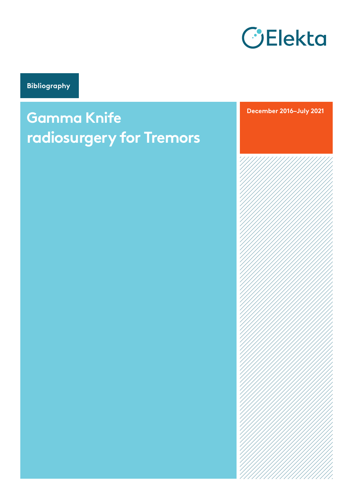

**Bibliography**

# **Gamma Knife radiosurgery for Tremors**

**December 2016–July 2021**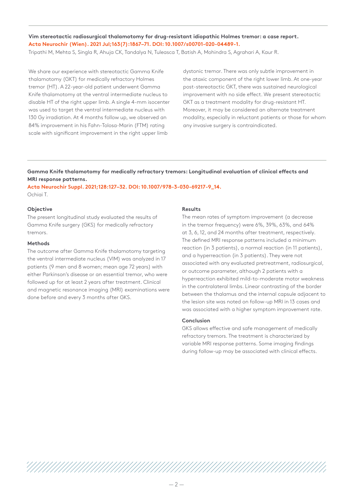**Vim stereotactic radiosurgical thalamotomy for drug-resistant idiopathic Holmes tremor: a case report. Acta Neurochir (Wien). 2021 Jul;163(7):1867–71. DOI: 10.1007/s00701-020-04489-1.**  Tripathi M, Mehta S, Singla R, Ahuja CK, Tandalya N, Tuleasca T, Batish A, Mohindra S, Agrahari A, Kaur R.

We share our experience with stereotactic Gamma Knife thalamotomy (GKT) for medically refractory Holmes tremor (HT). A 22-year-old patient underwent Gamma Knife thalamotomy at the ventral intermediate nucleus to disable HT of the right upper limb. A single 4-mm isocenter was used to target the ventral intermediate nucleus with 130 Gy irradiation. At 4 months follow up, we observed an 84% improvement in his Fahn-Tolosa-Marin (FTM) rating scale with significant improvement in the right upper limb

dystonic tremor. There was only subtle improvement in the ataxic component of the right lower limb. At one-year post-stereotactic GKT, there was sustained neurological improvement with no side effect. We present stereotactic GKT as a treatment modality for drug-resistant HT. Moreover, it may be considered an alternate treatment modality, especially in reluctant patients or those for whom any invasive surgery is contraindicated.

**Gamma Knife thalamotomy for medically refractory tremors: Longitudinal evaluation of clinical effects and MRI response patterns.**

**Acta Neurochir Suppl. 2021;128:127–32. DOI: 10.1007/978-3-030-69217-9\_14.**  Ochiai T.

#### **Objective**

The present longitudinal study evaluated the results of Gamma Knife surgery (GKS) for medically refractory tremors.

#### **Methods**

The outcome after Gamma Knife thalamotomy targeting the ventral intermediate nucleus (VIM) was analyzed in 17 patients (9 men and 8 women; mean age 72 years) with either Parkinson's disease or an essential tremor, who were followed up for at least 2 years after treatment. Clinical and magnetic resonance imaging (MRI) examinations were done before and every 3 months after GKS.

#### **Results**

The mean rates of symptom improvement (a decrease in the tremor frequency) were 6%, 39%, 63%, and 64% at 3, 6, 12, and 24 months after treatment, respectively. The defined MRI response patterns included a minimum reaction (in 3 patients), a normal reaction (in 11 patients), and a hyperreaction (in 3 patients). They were not associated with any evaluated pretreatment, radiosurgical, or outcome parameter, although 2 patients with a hyperreaction exhibited mild-to-moderate motor weakness in the contralateral limbs. Linear contrasting of the border between the thalamus and the internal capsule adjacent to the lesion site was noted on follow-up MRI in 13 cases and was associated with a higher symptom improvement rate.

#### **Conclusion**

GKS allows effective and safe management of medically refractory tremors. The treatment is characterized by variable MRI response patterns. Some imaging findings during follow-up may be associated with clinical effects.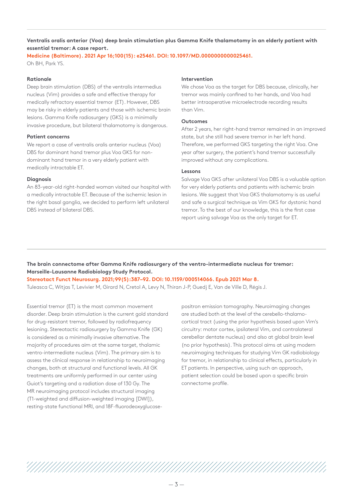**Ventralis oralis anterior (Voa) deep brain stimulation plus Gamma Knife thalamotomy in an elderly patient with essential tremor: A case report.**

**Medicine (Baltimore). 2021 Apr 16;100(15): e25461. DOI: 10.1097/MD.0000000000025461.**  Oh BH, Park YS.

#### **Rationale**

Deep brain stimulation (DBS) of the ventralis intermedius nucleus (Vim) provides a safe and effective therapy for medically refractory essential tremor (ET). However, DBS may be risky in elderly patients and those with ischemic brain lesions. Gamma Knife radiosurgery (GKS) is a minimally invasive procedure, but bilateral thalamotomy is dangerous.

#### **Patient concerns**

We report a case of ventralis oralis anterior nucleus (Voa) DBS for dominant hand tremor plus Voa GKS for nondominant hand tremor in a very elderly patient with medically intractable ET.

#### **Diagnosis**

An 83-year-old right-handed woman visited our hospital with a medically intractable ET. Because of the ischemic lesion in the right basal ganglia, we decided to perform left unilateral DBS instead of bilateral DBS.

#### **Intervention**

We chose Voa as the target for DBS because, clinically, her tremor was mainly confined to her hands, and Voa had better intraoperative microelectrode recording results than Vim.

#### **Outcomes**

After 2 years, her right-hand tremor remained in an improved state, but she still had severe tremor in her left hand. Therefore, we performed GKS targeting the right Voa. One year after surgery, the patient's hand tremor successfully improved without any complications.

#### **Lessons**

Salvage Voa GKS after unilateral Voa DBS is a valuable option for very elderly patients and patients with ischemic brain lesions. We suggest that Voa GKS thalamotomy is as useful and safe a surgical technique as Vim GKS for dystonic hand tremor. To the best of our knowledge, this is the first case report using salvage Voa as the only target for ET.

**The brain connectome after Gamma Knife radiosurgery of the ventro-intermediate nucleus for tremor: Marseille-Lausanne Radiobiology Study Protocol.**

#### **Stereotact Funct Neurosurg. 2021;99(5):387–92. DOI: 10.1159/000514066. Epub 2021 Mar 8.**

Tuleasca C, Witjas T, Levivier M, Girard N, Cretol A, Levy N, Thiran J-P, Guedj E, Van de Ville D, Régis J.

Essential tremor (ET) is the most common movement disorder. Deep brain stimulation is the current gold standard for drug-resistant tremor, followed by radiofrequency lesioning. Stereotactic radiosurgery by Gamma Knife (GK) is considered as a minimally invasive alternative. The majority of procedures aim at the same target, thalamic ventro-intermediate nucleus (Vim). The primary aim is to assess the clinical response in relationship to neuroimaging changes, both at structural and functional levels. All GK treatments are uniformly performed in our center using Guiot's targeting and a radiation dose of 130 Gy. The MR neuroimaging protocol includes structural imaging (T1-weighted and diffusion-weighted imaging [DWI]), resting-state functional MRI, and 18F-fluorodeoxyglucose-

positron emission tomography. Neuroimaging changes are studied both at the level of the cerebello-thalamocortical tract (using the prior hypothesis based upon Vim's circuitry: motor cortex, ipsilateral Vim, and contralateral cerebellar dentate nucleus) and also at global brain level (no prior hypothesis). This protocol aims at using modern neuroimaging techniques for studying Vim GK radiobiology for tremor, in relationship to clinical effects, particularly in ET patients. In perspective, using such an approach, patient selection could be based upon a specific brain connectome profile.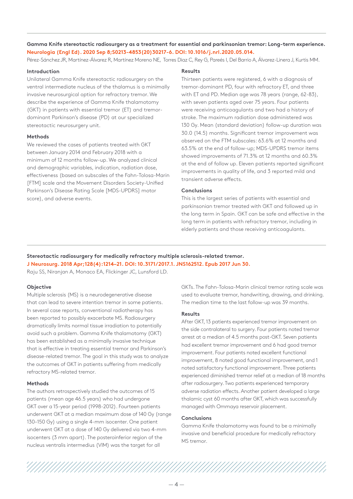**Gamma Knife stereotactic radiosurgery as a treatment for essential and parkinsonian tremor: Long-term experience. Neurologia (Engl Ed). 2020 Sep 8;S0213-4853(20)30217-6. DOI: 10.1016/j.nrl.2020.05.014.** 

Pérez-Sánchez JR, Martínez-Álvarez R, Martínez Moreno NE, Torres Diaz C, Rey G, Pareés I, Del Barrio A, Álvarez-Linera J, Kurtis MM.

# **Introduction**

Unilateral Gamma Knife stereotactic radiosurgery on the ventral intermediate nucleus of the thalamus is a minimally invasive neurosurgical option for refractory tremor. We describe the experience of Gamma Knife thalamotomy (GKT) in patients with essential tremor (ET) and tremordominant Parkinson's disease (PD) at our specialized stereotactic neurosurgery unit.

# **Methods**

We reviewed the cases of patients treated with GKT between January 2014 and February 2018 with a minimum of 12 months follow-up. We analyzed clinical and demographic variables, indication, radiation dose, effectiveness (based on subscales of the Fahn-Tolosa-Marin [FTM] scale and the Movement Disorders Society-Unified Parkinson's Disease Rating Scale [MDS-UPDRS] motor score), and adverse events.

#### **Results**

Thirteen patients were registered, 6 with a diagnosis of tremor-dominant PD, four with refractory ET, and three with ET and PD. Median age was 78 years (range, 62-83), with seven patients aged over 75 years. Four patients were receiving anticoagulants and two had a history of stroke. The maximum radiation dose administered was 130 Gy. Mean (standard deviation) follow-up duration was 30.0 (14.5) months. Significant tremor improvement was observed on the FTM subscales: 63.6% at 12 months and 63.5% at the end of follow-up; MDS-UPDRS tremor items showed improvements of 71.3% at 12 months and 60.3% at the end of follow up. Eleven patients reported significant improvements in quality of life, and 3 reported mild and transient adverse effects.

# **Conclusions**

This is the largest series of patients with essential and parkinsonian tremor treated with GKT and followed up in the long term in Spain. GKT can be safe and effective in the long term in patients with refractory tremor, including in elderly patients and those receiving anticoagulants.

**Stereotactic radiosurgery for medically refractory multiple sclerosis-related tremor. J Neurosurg. 2018 Apr;128(4):1214–21. DOI: 10.3171/2017.1. JNS162512. Epub 2017 Jun 30.** 

Raju SS, Niranjan A, Monaco EA, Flickinger JC, Lunsford LD.

#### **Objective**

Multiple sclerosis (MS) is a neurodegenerative disease that can lead to severe intention tremor in some patients. In several case reports, conventional radiotherapy has been reported to possibly exacerbate MS. Radiosurgery dramatically limits normal tissue irradiation to potentially avoid such a problem. Gamma Knife thalamotomy (GKT) has been established as a minimally invasive technique that is effective in treating essential tremor and Parkinson's disease-related tremor. The goal in this study was to analyze the outcomes of GKT in patients suffering from medically refractory MS-related tremor.

#### **Methods**

The authors retrospectively studied the outcomes of 15 patients (mean age 46.5 years) who had undergone GKT over a 15-year period (1998-2012). Fourteen patients underwent GKT at a median maximum dose of 140 Gy (range 130–150 Gy) using a single 4-mm isocenter. One patient underwent GKT at a dose of 140 Gy delivered via two 4-mm isocenters (3 mm apart). The posteroinferior region of the nucleus ventralis intermedius (VIM) was the target for all

GKTs. The Fahn-Tolosa-Marin clinical tremor rating scale was used to evaluate tremor, handwriting, drawing, and drinking. The median time to the last follow-up was 39 months.

#### **Results**

After GKT, 13 patients experienced tremor improvement on the side contralateral to surgery. Four patients noted tremor arrest at a median of 4.5 months post-GKT. Seven patients had excellent tremor improvement and 6 had good tremor improvement. Four patients noted excellent functional improvement, 8 noted good functional improvement, and 1 noted satisfactory functional improvement. Three patients experienced diminished tremor relief at a median of 18 months after radiosurgery. Two patients experienced temporary adverse radiation effects. Another patient developed a large thalamic cyst 60 months after GKT, which was successfully managed with Ommaya reservoir placement.

#### **Conclusions**

Gamma Knife thalamotomy was found to be a minimally invasive and beneficial procedure for medically refractory MS tremor.



 $-4-$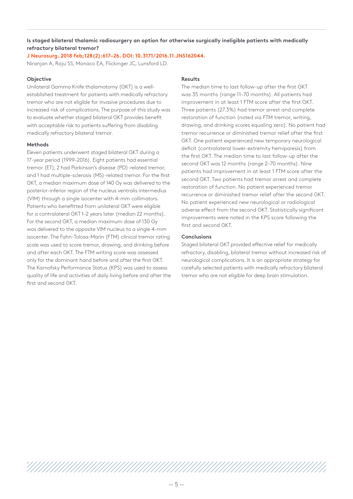# **Is staged bilateral thalamic radiosurgery an option for otherwise surgically ineligible patients with medically refractory bilateral tremor?**

**J Neurosurg. 2018 Feb;128(2):617–26. DOI: 10.3171/2016.11.JNS162044.** 

Niranjan A, Raju SS, Monaco EA, Flickinger JC, Lunsford LD.

#### **Objective**

Unilateral Gamma Knife thalamotomy (GKT) is a wellestablished treatment for patients with medically refractory tremor who are not eligible for invasive procedures due to increased risk of complications. The purpose of this study was to evaluate whether staged bilateral GKT provides benefit with acceptable risk to patients suffering from disabling medically refractory bilateral tremor.

# **Methods**

Eleven patients underwent staged bilateral GKT during a 17-year period (1999–2016). Eight patients had essential tremor (ET), 2 had Parkinson's disease (PD)-related tremor, and 1 had multiple-sclerosis (MS)-related tremor. For the first GKT, a median maximum dose of 140 Gy was delivered to the posterior-inferior region of the nucleus ventralis intermedius (VIM) through a single isocenter with 4-mm collimators. Patients who benefitted from unilateral GKT were eligible for a contralateral GKT 1–2 years later (median 22 months). For the second GKT, a median maximum dose of 130 Gy was delivered to the opposite VIM nucleus to a single 4-mm isocenter. The Fahn-Tolosa-Marin (FTM) clinical tremor rating scale was used to score tremor, drawing, and drinking before and after each GKT. The FTM writing score was assessed only for the dominant hand before and after the first GKT. The Karnofsky Performance Status (KPS) was used to assess quality of life and activities of daily living before and after the first and second GKT.

#### **Results**

The median time to last follow-up after the first GKT was 35 months (range 11–70 months). All patients had improvement in at least 1 FTM score after the first GKT. Three patients (27.3%) had tremor arrest and complete restoration of function (noted via FTM tremor, writing, drawing, and drinking scores equaling zero). No patient had tremor recurrence or diminished tremor relief after the first GKT. One patient experienced new temporary neurological deficit (contralateral lower-extremity hemiparesis) from the first GKT. The median time to last follow-up after the second GKT was 12 months (range 2–70 months). Nine patients had improvement in at least 1 FTM score after the second GKT. Two patients had tremor arrest and complete restoration of function. No patient experienced tremor recurrence or diminished tremor relief after the second GKT. No patient experienced new neurological or radiological adverse effect from the second GKT. Statistically significant improvements were noted in the KPS score following the first and second GKT.

# **Conclusions**

Staged bilateral GKT provided effective relief for medically refractory, disabling, bilateral tremor without increased risk of neurological complications. It is an appropriate strategy for carefully selected patients with medically refractory bilateral tremor who are not eligible for deep brain stimulation.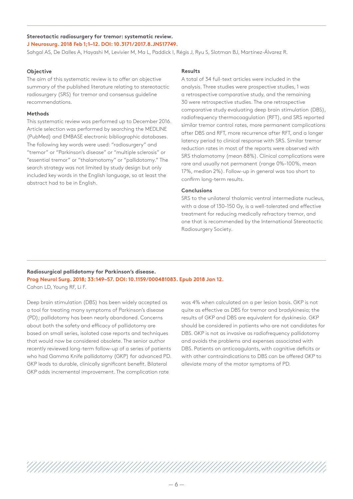# **Stereotactic radiosurgery for tremor: systematic review. J Neurosurg. 2018 Feb 1;1–12. DOI: 10.3171/2017.8.JNS17749.**

Sahgal AS, De Dalles A, Hayashi M, Levivier M, Ma L, Paddick I, Régis J, Ryu S, Slotman BJ, Martínez-Álvarez R.

#### **Objective**

The aim of this systematic review is to offer an objective summary of the published literature relating to stereotactic radiosurgery (SRS) for tremor and consensus guideline recommendations.

#### **Methods**

This systematic review was performed up to December 2016. Article selection was performed by searching the MEDLINE (PubMed) and EMBASE electronic bibliographic databases. The following key words were used: "radiosurgery" and "tremor" or "Parkinson's disease" or "multiple sclerosis" or "essential tremor" or "thalamotomy" or "pallidotomy." The search strategy was not limited by study design but only included key words in the English language, so at least the abstract had to be in English.

#### **Results**

A total of 34 full-text articles were included in the analysis. Three studies were prospective studies, 1 was a retrospective comparative study, and the remaining 30 were retrospective studies. The one retrospective comparative study evaluating deep brain stimulation (DBS), radiofrequency thermocoagulation (RFT), and SRS reported similar tremor control rates, more permanent complications after DBS and RFT, more recurrence after RFT, and a longer latency period to clinical response with SRS. Similar tremor reduction rates in most of the reports were observed with SRS thalamotomy (mean 88%). Clinical complications were rare and usually not permanent (range 0%–100%, mean 17%, median 2%). Follow-up in general was too short to confirm long-term results.

#### **Conclusions**

SRS to the unilateral thalamic ventral intermediate nucleus, with a dose of 130–150 Gy, is a well-tolerated and effective treatment for reducing medically refractory tremor, and one that is recommended by the International Stereotactic Radiosurgery Society.

#### **Radiosurgical pallidotomy for Parkinson's disease. Prog Neurol Surg. 2018; 33:149–57. DOI: 10.1159/000481083. Epub 2018 Jan 12.**  Cahan LD, Young RF, Li F.

Deep brain stimulation (DBS) has been widely accepted as a tool for treating many symptoms of Parkinson's disease (PD); pallidotomy has been nearly abandoned. Concerns about both the safety and efficacy of pallidotomy are

based on small series, isolated case reports and techniques that would now be considered obsolete. The senior author recently reviewed long-term follow-up of a series of patients who had Gamma Knife pallidotomy (GKP) for advanced PD. GKP leads to durable, clinically significant benefit. Bilateral GKP adds incremental improvement. The complication rate

was 4% when calculated on a per lesion basis. GKP is not quite as effective as DBS for tremor and bradykinesia; the results of GKP and DBS are equivalent for dyskinesia. GKP should be considered in patients who are not candidates for DBS. GKP is not as invasive as radiofrequency pallidotomy and avoids the problems and expenses associated with DBS. Patients on anticoagulants, with cognitive deficits or with other contraindications to DBS can be offered GKP to alleviate many of the motor symptoms of PD.

//////////////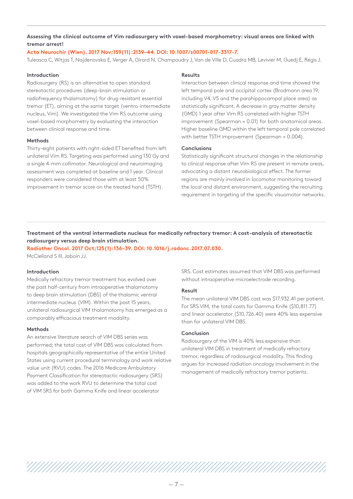# **Assessing the clinical outcome of Vim radiosurgery with voxel-based morphometry: visual areas are linked with tremor arrest!**

# **Acta Neurochir (Wien). 2017 Nov;159(11):2139–44. DOI: 10.1007/s00701-017-3317-7.**

Tuleasca C, Witjas T, Najdenovska E, Verger A, Girard N, Champoudry J, Van de Ville D, Cuadra MB, Levivier M, Guedj E, Régis J.

# **Introduction**

Radiosurgery (RS) is an alternative to open standard stereotactic procedures (deep-brain stimulation or radiofrequency thalamotomy) for drug-resistant essential tremor (ET), aiming at the same target (ventro-intermediate nucleus, Vim). We investigated the Vim RS outcome using voxel-based morphometry by evaluating the interaction between clinical response and time.

#### **Methods**

Thirty-eight patients with right-sided ET benefited from left unilateral Vim RS. Targeting was performed using 130 Gy and a single 4-mm collimator. Neurological and neuroimaging assessment was completed at baseline and 1 year. Clinical responders were considered those with at least 50% improvement in tremor score on the treated hand (TSTH).

#### **Results**

Interaction between clinical response and time showed the left temporal pole and occipital cortex (Brodmann area 19, including V4, V5 and the parahippocampal place area) as statistically significant. A decrease in gray matter density (GMD) 1 year after Vim RS correlated with higher TSTH improvement (Spearman = 0.01) for both anatomical areas. Higher baseline GMD within the left temporal pole correlated with better TSTH improvement (Spearman = 0.004).

#### **Conclusions**

Statistically significant structural changes in the relationship to clinical response after Vim RS are present in remote areas, advocating a distant neurobiological effect. The former regions are mainly involved in locomotor monitoring toward the local and distant environment, suggesting the recruiting requirement in targeting of the specific visuomotor networks.

# **Treatment of the ventral intermediate nucleus for medically refractory tremor: A cost-analysis of stereotactic radiosurgery versus deep brain stimulation.**

**Radiother Oncol. 2017 Oct;125(1):136–39. DOI: 10.1016/j.radonc.2017.07.030.**  McClelland S III, Jaboin JJ.

#### **Introduction**

Medically refractory tremor treatment has evolved over the past half-century from intraoperative thalamotomy to deep brain stimulation (DBS) of the thalamic ventral intermediate nucleus (VIM). Within the past 15 years, unilateral radiosurgical VIM thalamotomy has emerged as a comparably efficacious treatment modality.

#### **Methods**

An extensive literature search of VIM DBS series was performed; the total cost of VIM DBS was calculated from hospitals geographically representative of the entire United States using current procedural terminology and work relative value unit (RVU) codes. The 2016 Medicare Ambulatory Payment Classification for stereotactic radiosurgery (SRS) was added to the work RVU to determine the total cost of VIM SRS for both Gamma Knife and linear accelerator

SRS. Cost estimates assumed that VIM DBS was performed without intraoperative microelectrode recording.

#### **Result**

The mean unilateral VIM DBS cost was \$17,932.41 per patient. For SRS VIM, the total costs for Gamma Knife (\$10,811.77) and linear accelerator (\$10,726.40) were 40% less expensive than for unilateral VIM DBS.

# **Conclusion**

Radiosurgery of the VIM is 40% less expensive than unilateral VIM DBS in treatment of medically refractory tremor, regardless of radiosurgical modality. This finding argues for increased radiation oncology involvement in the management of medically refractory tremor patients.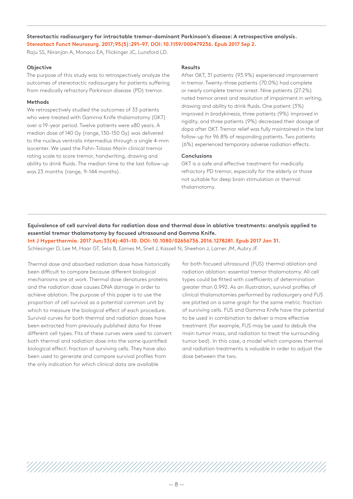# **Stereotactic radiosurgery for intractable tremor-dominant Parkinson's disease: A retrospective analysis. Stereotact Funct Neurosurg. 2017;95(5):291–97. DOI: 10.1159/000479236. Epub 2017 Sep 2.**

Raju SS, Niranjan A, Monaco EA, Flickinger JC, Lunsford LD.

# **Objective**

The purpose of this study was to retrospectively analyze the outcomes of stereotactic radiosurgery for patients suffering from medically refractory Parkinson disease (PD) tremor.

# **Methods**

We retrospectively studied the outcomes of 33 patients who were treated with Gamma Knife thalamotomy (GKT) over a 19-year period. Twelve patients were ≥80 years. A median dose of 140 Gy (range, 130–150 Gy) was delivered to the nucleus ventralis intermedius through a single 4-mm isocenter. We used the Fahn-Tolosa-Marin clinical tremor rating scale to score tremor, handwriting, drawing and ability to drink fluids. The median time to the last follow-up was 23 months (range, 9–144 months).

# **Results**

After GKT, 31 patients (93.9%) experienced improvement in tremor. Twenty-three patients (70.0%) had complete or nearly complete tremor arrest. Nine patients (27.2%) noted tremor arrest and resolution of impairment in writing, drawing and ability to drink fluids. One patient (3%) improved in bradykinesia, three patients (9%) improved in rigidity, and three patients (9%) decreased their dosage of dopa after GKT. Tremor relief was fully maintained in the last follow-up for 96.8% of responding patients. Two patients (6%) experienced temporary adverse radiation effects.

# **Conclusions**

GKT is a safe and effective treatment for medically refractory PD tremor, especially for the elderly or those not suitable for deep brain stimulation or thermal thalamotomy.

**Equivalence of cell survival data for radiation dose and thermal dose in ablative treatments: analysis applied to essential tremor thalamotomy by focused ultrasound and Gamma Knife.** 

**Int J Hyperthermia. 2017 Jun;33(4):401–10. DOI: 10.1080/02656736.2016.1278281. Epub 2017 Jan 31.** 

Schlesinger D, Lee M, Haar GT, Sela B, Eames M, Snell J, Kassell N, Sheehan J, Larner JM, Aubry JF.

Thermal dose and absorbed radiation dose have historically been difficult to compare because different biological mechanisms are at work. Thermal dose denatures proteins and the radiation dose causes DNA damage in order to achieve ablation. The purpose of this paper is to use the proportion of cell survival as a potential common unit by which to measure the biological effect of each procedure. Survival curves for both thermal and radiation doses have been extracted from previously published data for three different cell types. Fits of these curves were used to convert both thermal and radiation dose into the same quantified biological effect: fraction of surviving cells. They have also been used to generate and compare survival profiles from the only indication for which clinical data are available

for both focused ultrasound (FUS) thermal ablation and radiation ablation: essential tremor thalamotomy. All cell types could be fitted with coefficients of determination greater than 0.992. As an illustration, survival profiles of clinical thalamotomies performed by radiosurgery and FUS are plotted on a same graph for the same metric: fraction of surviving cells. FUS and Gamma Knife have the potential to be used in combination to deliver a more effective treatment (for example, FUS may be used to debulk the main tumor mass, and radiation to treat the surrounding tumor bed). In this case, a model which compares thermal and radiation treatments is valuable in order to adjust the dose between the two.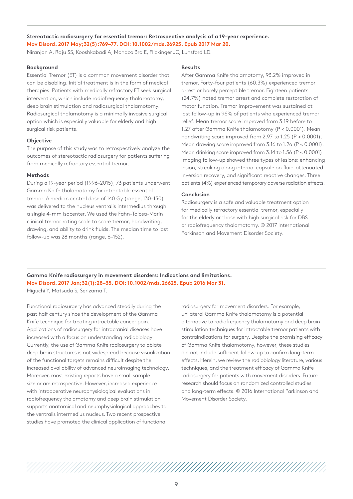**Stereotactic radiosurgery for essential tremor: Retrospective analysis of a 19-year experience. Mov Disord. 2017 May;32(5):769–77. DOI: 10.1002/mds.26925. Epub 2017 Mar 20.** 

Niranjan A, Raju SS, Kooshkabadi A, Monaco 3rd E, Flickinger JC, Lunsford LD.

#### **Background**

Essential Tremor (ET) is a common movement disorder that can be disabling. Initial treatment is in the form of medical therapies. Patients with medically refractory ET seek surgical intervention, which include radiofrequency thalamotomy, deep brain stimulation and radiosurgical thalamotomy. Radiosurgical thalamotomy is a minimally invasive surgical option which is especially valuable for elderly and high surgical risk patients.

#### **Objective**

The purpose of this study was to retrospectively analyze the outcomes of stereotactic radiosurgery for patients suffering from medically refractory essential tremor.

#### **Methods**

During a 19-year period (1996–2015), 73 patients underwent Gamma Knife thalamotomy for intractable essential tremor. A median central dose of 140 Gy (range, 130–150) was delivered to the nucleus ventralis intermedius through a single 4-mm isocenter. We used the Fahn-Tolosa-Marin clinical tremor rating scale to score tremor, handwriting, drawing, and ability to drink fluids. The median time to last follow-up was 28 months (range, 6–152).

#### **Results**

After Gamma Knife thalamotomy, 93.2% improved in tremor. Forty-four patients (60.3%) experienced tremor arrest or barely perceptible tremor. Eighteen patients (24.7%) noted tremor arrest and complete restoration of motor function. Tremor improvement was sustained at last follow-up in 96% of patients who experienced tremor relief. Mean tremor score improved from 3.19 before to 1.27 after Gamma Knife thalamotomy (P < 0.0001). Mean handwriting score improved from 2.97 to 1.25 (P < 0.0001). Mean drawing score improved from 3.16 to 1.26 (P < 0.0001). Mean drinking score improved from 3.14 to 1.56 (P < 0.0001). Imaging follow-up showed three types of lesions: enhancing lesion, streaking along internal capsule on fluid-attenuated inversion recovery, and significant reactive changes. Three patients (4%) experienced temporary adverse radiation effects.

#### **Conclusion**

Radiosurgery is a safe and valuable treatment option for medically refractory essential tremor, especially for the elderly or those with high surgical risk for DBS or radiofrequency thalamotomy. © 2017 International Parkinson and Movement Disorder Society.

**Gamma Knife radiosurgery in movement disorders: Indications and limitations. Mov Disord. 2017 Jan;32(1):28–35. DOI: 10.1002/mds.26625. Epub 2016 Mar 31.** 

Higuchi Y, Matsuda S, Serizama T.

Functional radiosurgery has advanced steadily during the past half century since the development of the Gamma Knife technique for treating intractable cancer pain. Applications of radiosurgery for intracranial diseases have increased with a focus on understanding radiobiology. Currently, the use of Gamma Knife radiosurgery to ablate deep brain structures is not widespread because visualization of the functional targets remains difficult despite the increased availability of advanced neuroimaging technology. Moreover, most existing reports have a small sample size or are retrospective. However, increased experience with intraoperative neurophysiological evaluations in radiofrequency thalamotomy and deep brain stimulation supports anatomical and neurophysiological approaches to the ventralis intermedius nucleus. Two recent prospective studies have promoted the clinical application of functional

radiosurgery for movement disorders. For example, unilateral Gamma Knife thalamotomy is a potential alternative to radiofrequency thalamotomy and deep brain stimulation techniques for intractable tremor patients with contraindications for surgery. Despite the promising efficacy of Gamma Knife thalamotomy, however, these studies did not include sufficient follow-up to confirm long-term effects. Herein, we review the radiobiology literature, various techniques, and the treatment efficacy of Gamma Knife radiosurgery for patients with movement disorders. Future research should focus on randomized controlled studies and long-term effects. © 2016 International Parkinson and Movement Disorder Society.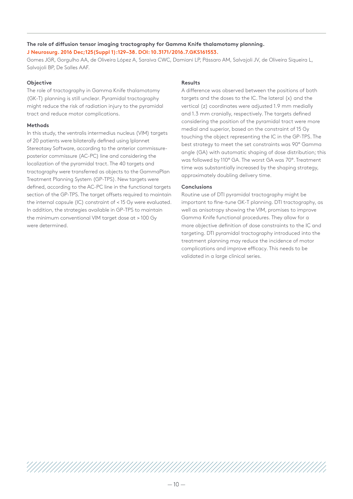# **The role of diffusion tensor imaging tractography for Gamma Knife thalamotomy planning. J Neurosurg. 2016 Dec;125(Suppl 1):129–38. DOI: 10.3171/2016.7.GKS161553.**

Gomes JGR, Gorgulho AA, de Oliveira López A, Saraiva CWC, Damiani LP, Pássaro AM, Salvajoli JV, de Oliveira Siqueira L, Salvajoli BP, De Salles AAF.

#### **Objective**

The role of tractography in Gamma Knife thalamotomy (GK-T) planning is still unclear. Pyramidal tractography might reduce the risk of radiation injury to the pyramidal tract and reduce motor complications.

# **Methods**

In this study, the ventralis intermedius nucleus (VIM) targets of 20 patients were bilaterally defined using Iplannet Stereotaxy Software, according to the anterior commissureposterior commissure (AC-PC) line and considering the localization of the pyramidal tract. The 40 targets and tractography were transferred as objects to the GammaPlan Treatment Planning System (GP-TPS). New targets were defined, according to the AC-PC line in the functional targets section of the GP-TPS. The target offsets required to maintain the internal capsule (IC) constraint of < 15 Gy were evaluated. In addition, the strategies available in GP-TPS to maintain the minimum conventional VIM target dose at > 100 Gy were determined.

# **Results**

A difference was observed between the positions of both targets and the doses to the IC. The lateral (x) and the vertical (z) coordinates were adjusted 1.9 mm medially and 1.3 mm cranially, respectively. The targets defined considering the position of the pyramidal tract were more medial and superior, based on the constraint of 15 Gy touching the object representing the IC in the GP-TPS. The best strategy to meet the set constraints was 90° Gamma angle (GA) with automatic shaping of dose distribution; this was followed by 110° GA. The worst GA was 70°. Treatment time was substantially increased by the shaping strategy, approximately doubling delivery time.

# **Conclusions**

Routine use of DTI pyramidal tractography might be important to fine-tune GK-T planning. DTI tractography, as well as anisotropy showing the VIM, promises to improve Gamma Knife functional procedures. They allow for a more objective definition of dose constraints to the IC and targeting. DTI pyramidal tractography introduced into the treatment planning may reduce the incidence of motor complications and improve efficacy. This needs to be validated in a large clinical series.